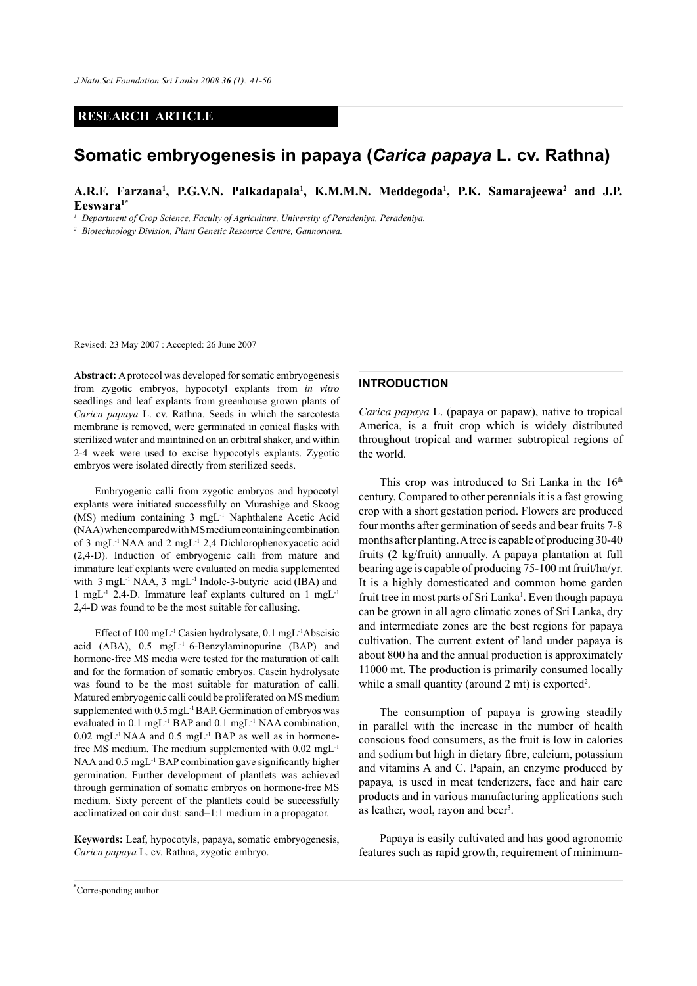# **RESEARCH ARTICLE**

# **Somatic embryogenesis in papaya (***Carica papaya* **L. cv. Rathna)**

A.R.F. Farzana<sup>1</sup>, P.G.V.N. Palkadapala<sup>1</sup>, K.M.M.N. Meddegoda<sup>1</sup>, P.K. Samarajeewa<sup>2</sup> and J.P. **Eeswara1\***

*<sup>1</sup> Department of Crop Science, Faculty of Agriculture, University of Peradeniya, Peradeniya.*

*<sup>2</sup> Biotechnology Division, Plant Genetic Resource Centre, Gannoruwa.*

Revised: 23 May 2007 : Accepted: 26 June 2007

**Abstract:** A protocol was developed for somatic embryogenesis from zygotic embryos, hypocotyl explants from *in vitro*  seedlings and leaf explants from greenhouse grown plants of *Carica papaya* L. cv. Rathna. Seeds in which the sarcotesta membrane is removed, were germinated in conical flasks with sterilized water and maintained on an orbitral shaker, and within 2-4 week were used to excise hypocotyls explants. Zygotic embryos were isolated directly from sterilized seeds.

Embryogenic calli from zygotic embryos and hypocotyl explants were initiated successfully on Murashige and Skoog (MS) medium containing 3 mgL-1 Naphthalene Acetic Acid (NAA) when compared with MS medium containing combination of 3 mgL-1 NAA and 2 mgL-1 2,4 Dichlorophenoxyacetic acid (2,4-D). Induction of embryogenic calli from mature and immature leaf explants were evaluated on media supplemented with 3 mgL<sup>-1</sup> NAA, 3 mgL<sup>-1</sup> Indole-3-butyric acid (IBA) and 1 mgL<sup>-1</sup> 2,4-D. Immature leaf explants cultured on 1 mgL<sup>-1</sup> 2,4-D was found to be the most suitable for callusing.

Effect of 100 mgL-1 Casien hydrolysate, 0.1 mgL-1Abscisic acid (ABA), 0.5 mgL-1 6-Benzylaminopurine (BAP) and hormone-free MS media were tested for the maturation of calli and for the formation of somatic embryos. Casein hydrolysate was found to be the most suitable for maturation of calli. Matured embryogenic calli could be proliferated on MS medium supplemented with 0.5 mgL-1 BAP. Germination of embryos was evaluated in 0.1 mgL-1 BAP and 0.1 mgL-1 NAA combination,  $0.02 \text{ mgL}$ <sup>-1</sup> NAA and  $0.5 \text{ mgL}$ <sup>-1</sup> BAP as well as in hormonefree MS medium. The medium supplemented with 0.02 mgL-1 NAA and 0.5 mgL<sup>-1</sup> BAP combination gave significantly higher germination. Further development of plantlets was achieved through germination of somatic embryos on hormone-free MS medium. Sixty percent of the plantlets could be successfully acclimatized on coir dust: sand=1:1 medium in a propagator.

**Keywords:** Leaf, hypocotyls, papaya, somatic embryogenesis, *Carica papaya* L. cv. Rathna, zygotic embryo.

# **INTRODUCTION**

*Carica papaya* L. (papaya or papaw), native to tropical America, is a fruit crop which is widely distributed throughout tropical and warmer subtropical regions of the world.

This crop was introduced to Sri Lanka in the  $16<sup>th</sup>$ century. Compared to other perennials it is a fast growing crop with a short gestation period. Flowers are produced four months after germination of seeds and bear fruits 7-8 months after planting. A tree is capable of producing 30-40 fruits (2 kg/fruit) annually. A papaya plantation at full bearing age is capable of producing 75-100 mt fruit/ha/yr. It is a highly domesticated and common home garden fruit tree in most parts of Sri Lanka<sup>1</sup>. Even though papaya can be grown in all agro climatic zones of Sri Lanka, dry and intermediate zones are the best regions for papaya cultivation. The current extent of land under papaya is about 800 ha and the annual production is approximately 11000 mt. The production is primarily consumed locally while a small quantity (around 2 mt) is exported<sup>2</sup>.

The consumption of papaya is growing steadily in parallel with the increase in the number of health conscious food consumers, as the fruit is low in calories and sodium but high in dietary fibre, calcium, potassium and vitamins A and C. Papain, an enzyme produced by papaya*,* is used in meat tenderizers, face and hair care products and in various manufacturing applications such as leather, wool, rayon and beer<sup>3</sup>.

Papaya is easily cultivated and has good agronomic features such as rapid growth, requirement of minimum-

*Journal of the National Science Foundation of Sri Lanka 36 (1) March 2008* \* Corresponding author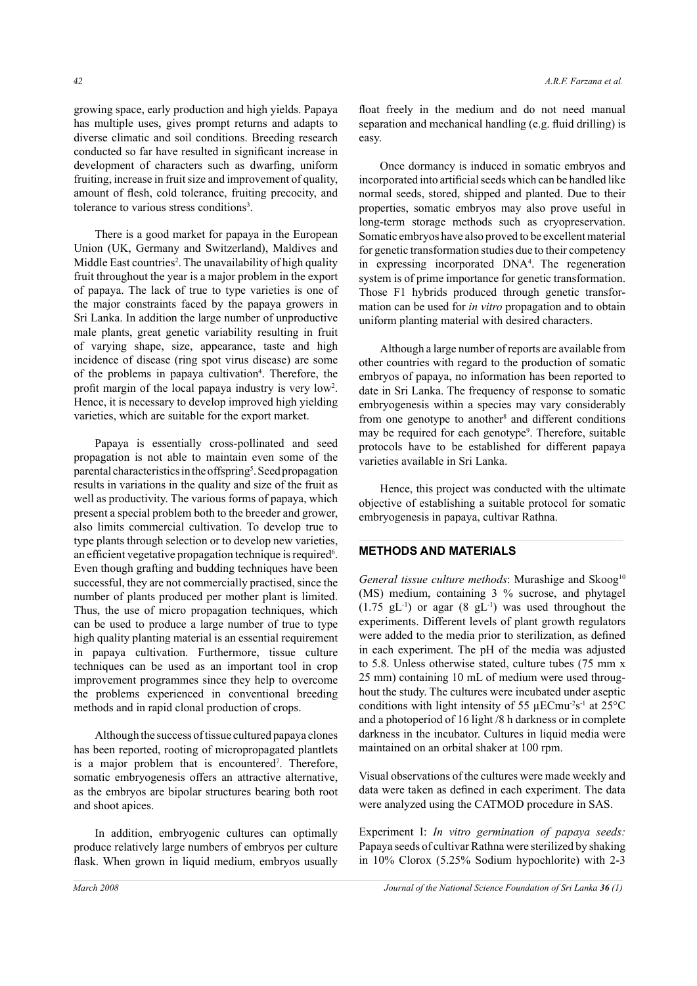growing space, early production and high yields. Papaya has multiple uses, gives prompt returns and adapts to diverse climatic and soil conditions. Breeding research conducted so far have resulted in significant increase in development of characters such as dwarfing, uniform fruiting, increase in fruit size and improvement of quality, amount of flesh, cold tolerance, fruiting precocity, and tolerance to various stress conditions<sup>3</sup>.

There is a good market for papaya in the European Union (UK, Germany and Switzerland), Maldives and Middle East countries<sup>2</sup>. The unavailability of high quality fruit throughout the year is a major problem in the export of papaya. The lack of true to type varieties is one of the major constraints faced by the papaya growers in Sri Lanka. In addition the large number of unproductive male plants, great genetic variability resulting in fruit of varying shape, size, appearance, taste and high incidence of disease (ring spot virus disease) are some of the problems in papaya cultivation<sup>4</sup>. Therefore, the profit margin of the local papaya industry is very low<sup>2</sup>. Hence, it is necessary to develop improved high yielding varieties, which are suitable for the export market.

Papaya is essentially cross-pollinated and seed propagation is not able to maintain even some of the parental characteristics in the offspring<sup>5</sup>. Seed propagation results in variations in the quality and size of the fruit as well as productivity. The various forms of papaya, which present a special problem both to the breeder and grower, also limits commercial cultivation. To develop true to type plants through selection or to develop new varieties, an efficient vegetative propagation technique is required<sup>6</sup>. Even though grafting and budding techniques have been successful, they are not commercially practised, since the number of plants produced per mother plant is limited. Thus, the use of micro propagation techniques, which can be used to produce a large number of true to type high quality planting material is an essential requirement in papaya cultivation. Furthermore, tissue culture techniques can be used as an important tool in crop improvement programmes since they help to overcome the problems experienced in conventional breeding methods and in rapid clonal production of crops.

Although the success of tissue cultured papaya clones has been reported, rooting of micropropagated plantlets is a major problem that is encountered<sup>7</sup>. Therefore, somatic embryogenesis offers an attractive alternative, as the embryos are bipolar structures bearing both root and shoot apices.

In addition, embryogenic cultures can optimally produce relatively large numbers of embryos per culture flask. When grown in liquid medium, embryos usually float freely in the medium and do not need manual separation and mechanical handling (e.g. fluid drilling) is easy.

Once dormancy is induced in somatic embryos and incorporated into artificial seeds which can be handled like normal seeds, stored, shipped and planted. Due to their properties, somatic embryos may also prove useful in long-term storage methods such as cryopreservation. Somatic embryos have also proved to be excellent material for genetic transformation studies due to their competency in expressing incorporated DNA<sup>4</sup>. The regeneration system is of prime importance for genetic transformation. Those F1 hybrids produced through genetic transformation can be used for *in vitro* propagation and to obtain uniform planting material with desired characters.

Although a large number of reports are available from other countries with regard to the production of somatic embryos of papaya, no information has been reported to date in Sri Lanka. The frequency of response to somatic embryogenesis within a species may vary considerably from one genotype to another<sup>8</sup> and different conditions may be required for each genotype<sup>9</sup>. Therefore, suitable protocols have to be established for different papaya varieties available in Sri Lanka.

Hence, this project was conducted with the ultimate objective of establishing a suitable protocol for somatic embryogenesis in papaya, cultivar Rathna.

### **METHODS AND MATERIALS**

*General tissue culture methods*: Murashige and Skoog<sup>10</sup> (MS) medium, containing 3 % sucrose, and phytagel  $(1.75 \text{ gL}^{-1})$  or agar  $(8 \text{ gL}^{-1})$  was used throughout the experiments. Different levels of plant growth regulators were added to the media prior to sterilization, as defined in each experiment. The pH of the media was adjusted to 5.8. Unless otherwise stated, culture tubes (75 mm x 25 mm) containing 10 mL of medium were used throughout the study. The cultures were incubated under aseptic conditions with light intensity of 55  $\mu$ ECmu<sup>-2</sup>s<sup>-1</sup> at 25<sup>o</sup>C and a photoperiod of 16 light /8 h darkness or in complete darkness in the incubator. Cultures in liquid media were maintained on an orbital shaker at 100 rpm.

Visual observations of the cultures were made weekly and data were taken as defined in each experiment. The data were analyzed using the CATMOD procedure in SAS.

Experiment I: *In vitro germination of papaya seeds:* Papaya seeds of cultivar Rathna were sterilized by shaking in 10% Clorox (5.25% Sodium hypochlorite) with 2-3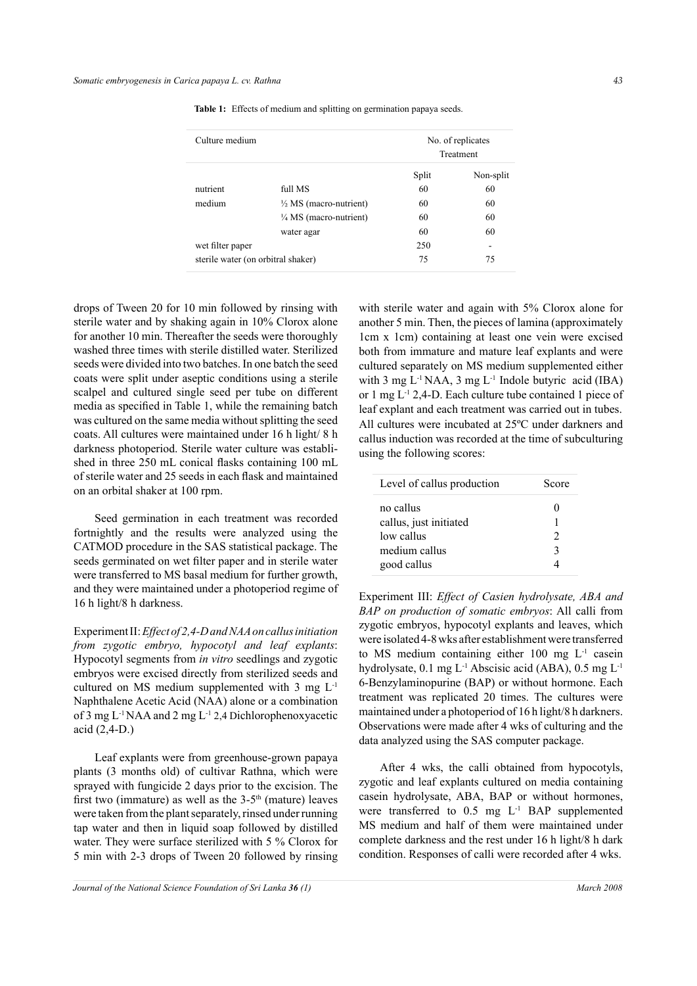| Culture medium                     |                                   | No. of replicates<br>Treatment |           |
|------------------------------------|-----------------------------------|--------------------------------|-----------|
|                                    |                                   | Split                          | Non-split |
| nutrient                           | full MS                           | 60                             | 60        |
| medium                             | $\frac{1}{2}$ MS (macro-nutrient) | 60                             | 60        |
|                                    | $\frac{1}{4}$ MS (macro-nutrient) | 60                             | 60        |
|                                    | water agar                        | 60                             | 60        |
| wet filter paper                   |                                   | 250                            |           |
| sterile water (on orbitral shaker) |                                   | 75                             | 75        |

**Table 1:** Effects of medium and splitting on germination papaya seeds.

drops of Tween 20 for 10 min followed by rinsing with sterile water and by shaking again in 10% Clorox alone for another 10 min. Thereafter the seeds were thoroughly washed three times with sterile distilled water. Sterilized seeds were divided into two batches. In one batch the seed coats were split under aseptic conditions using a sterile scalpel and cultured single seed per tube on different media as specified in Table 1, while the remaining batch was cultured on the same media without splitting the seed coats. All cultures were maintained under 16 h light/ 8 h darkness photoperiod. Sterile water culture was established in three 250 mL conical flasks containing 100 mL of sterile water and 25 seeds in each flask and maintained on an orbital shaker at 100 rpm.

Seed germination in each treatment was recorded fortnightly and the results were analyzed using the CATMOD procedure in the SAS statistical package. The seeds germinated on wet filter paper and in sterile water were transferred to MS basal medium for further growth, and they were maintained under a photoperiod regime of 16 h light/8 h darkness.

Experiment II: *Effect of 2,4-D and NAA on callus initiation from zygotic embryo, hypocotyl and leaf explants*: Hypocotyl segments from *in vitro* seedlings and zygotic embryos were excised directly from sterilized seeds and cultured on MS medium supplemented with 3 mg L-1 Naphthalene Acetic Acid (NAA) alone or a combination of 3 mg  $L^{-1}$  NAA and 2 mg  $L^{-1}$  2,4 Dichlorophenoxyacetic acid (2,4-D.)

Leaf explants were from greenhouse-grown papaya plants (3 months old) of cultivar Rathna, which were sprayed with fungicide 2 days prior to the excision. The first two (immature) as well as the  $3-5<sup>th</sup>$  (mature) leaves were taken from the plant separately, rinsed under running tap water and then in liquid soap followed by distilled water. They were surface sterilized with 5 % Clorox for 5 min with 2-3 drops of Tween 20 followed by rinsing

with sterile water and again with 5% Clorox alone for another 5 min. Then, the pieces of lamina (approximately 1cm x 1cm) containing at least one vein were excised both from immature and mature leaf explants and were cultured separately on MS medium supplemented either with 3 mg  $L^{-1}$  NAA, 3 mg  $L^{-1}$  Indole butyric acid (IBA) or 1 mg L-1 2,4-D. Each culture tube contained 1 piece of leaf explant and each treatment was carried out in tubes. All cultures were incubated at 25ºC under darkners and callus induction was recorded at the time of subculturing using the following scores:

| Level of callus production | Score |  |  |
|----------------------------|-------|--|--|
| no callus                  |       |  |  |
| callus, just initiated     |       |  |  |
| low callus                 | C     |  |  |
| medium callus              | 2     |  |  |
| good callus                |       |  |  |

Experiment III: *Effect of Casien hydrolysate, ABA and BAP on production of somatic embryos*: All calli from zygotic embryos, hypocotyl explants and leaves, which were isolated 4-8 wks after establishment were transferred to MS medium containing either 100 mg L-1 casein hydrolysate, 0.1 mg L-1 Abscisic acid (ABA), 0.5 mg L-1 6-Benzylaminopurine (BAP) or without hormone. Each treatment was replicated 20 times. The cultures were maintained under a photoperiod of 16 h light/8 h darkners. Observations were made after 4 wks of culturing and the data analyzed using the SAS computer package.

After 4 wks, the calli obtained from hypocotyls, zygotic and leaf explants cultured on media containing casein hydrolysate, ABA, BAP or without hormones, were transferred to 0.5 mg L<sup>-1</sup> BAP supplemented MS medium and half of them were maintained under complete darkness and the rest under 16 h light/8 h dark condition. Responses of calli were recorded after 4 wks.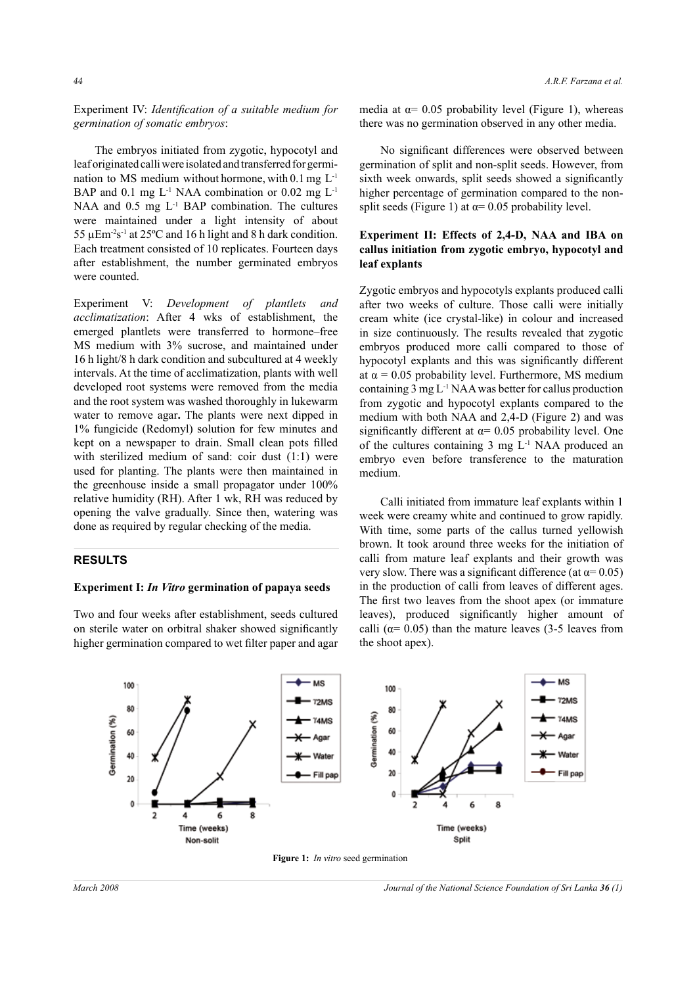Experiment IV: *Identification of a suitable medium for germination of somatic embryos*:

The embryos initiated from zygotic, hypocotyl and leaf originated calli were isolated and transferred for germination to MS medium without hormone, with 0.1 mg L-1 BAP and 0.1 mg  $L^{-1}$  NAA combination or 0.02 mg  $L^{-1}$ NAA and  $0.5$  mg  $L^{-1}$  BAP combination. The cultures were maintained under a light intensity of about 55  $\mu$ Em<sup>-2</sup>s<sup>-1</sup> at 25°C and 16 h light and 8 h dark condition. Each treatment consisted of 10 replicates. Fourteen days after establishment, the number germinated embryos were counted.

Experiment V: *Development of plantlets and acclimatization*: After 4 wks of establishment, the emerged plantlets were transferred to hormone–free MS medium with 3% sucrose, and maintained under 16 h light/8 h dark condition and subcultured at 4 weekly intervals. At the time of acclimatization, plants with well developed root systems were removed from the media and the root system was washed thoroughly in lukewarm water to remove agar**.** The plants were next dipped in 1% fungicide (Redomyl) solution for few minutes and kept on a newspaper to drain. Small clean pots filled with sterilized medium of sand: coir dust (1:1) were used for planting. The plants were then maintained in the greenhouse inside a small propagator under 100% relative humidity (RH). After 1 wk, RH was reduced by opening the valve gradually. Since then, watering was done as required by regular checking of the media.

### **RESULTS**

### **Experiment I:** *In Vitro* **germination of papaya seeds**

Two and four weeks after establishment, seeds cultured on sterile water on orbitral shaker showed significantly higher germination compared to wet filter paper and agar media at  $\alpha$ = 0.05 probability level (Figure 1), whereas there was no germination observed in any other media.

No significant differences were observed between germination of split and non-split seeds. However, from sixth week onwards, split seeds showed a significantly higher percentage of germination compared to the nonsplit seeds (Figure 1) at  $\alpha$ = 0.05 probability level.

## **Experiment II: Effects of 2,4-D, NAA and IBA on callus initiation from zygotic embryo, hypocotyl and leaf explants**

Zygotic embryos and hypocotyls explants produced calli after two weeks of culture. Those calli were initially cream white (ice crystal-like) in colour and increased in size continuously. The results revealed that zygotic embryos produced more calli compared to those of hypocotyl explants and this was significantly different at  $\alpha$  = 0.05 probability level. Furthermore, MS medium containing 3 mg L-1 NAA was better for callus production from zygotic and hypocotyl explants compared to the medium with both NAA and 2,4-D (Figure 2) and was significantly different at  $\alpha$ = 0.05 probability level. One of the cultures containing 3 mg L-1 NAA produced an embryo even before transference to the maturation medium.

Calli initiated from immature leaf explants within 1 week were creamy white and continued to grow rapidly. With time, some parts of the callus turned yellowish brown. It took around three weeks for the initiation of calli from mature leaf explants and their growth was very slow. There was a significant difference (at  $\alpha$ = 0.05) in the production of calli from leaves of different ages. The first two leaves from the shoot apex (or immature leaves), produced significantly higher amount of calli ( $\alpha$ = 0.05) than the mature leaves (3-5 leaves from the shoot apex).



**Figure 1:** *In vitro* seed germination

*March 2008 Journal of the National Science Foundation of Sri Lanka 36 (1)*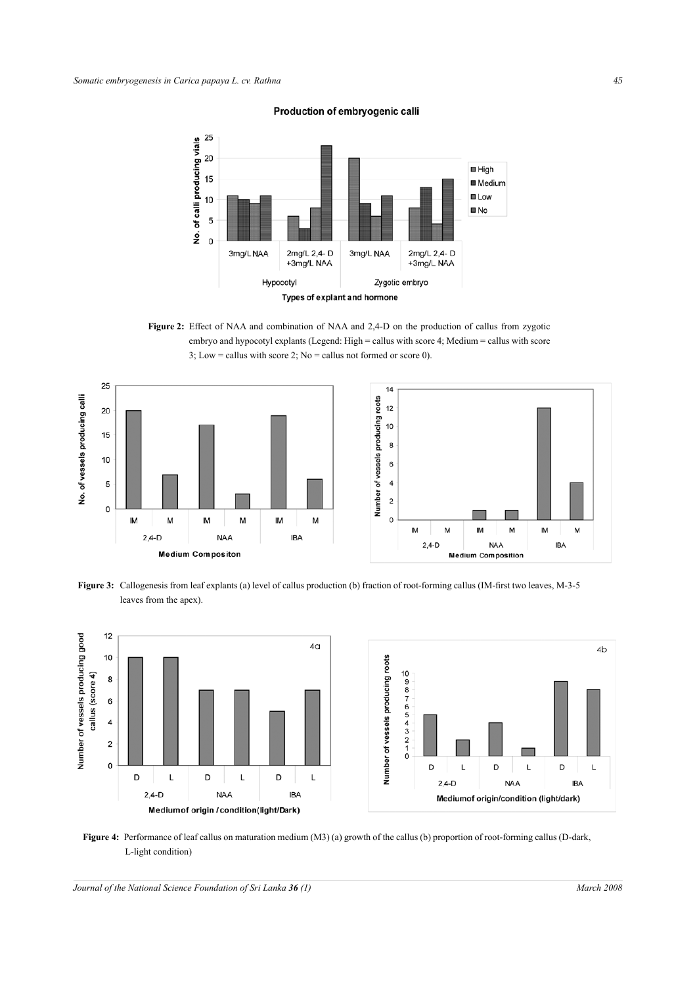Production of embryogenic calli



Figure 2: Effect of NAA and combination of NAA and 2,4-D on the production of callus from zygotic embryo and hypocotyl explants (Legend: High = callus with score 4; Medium = callus with score 3; Low = callus with score 2; No = callus not formed or score 0).



**Figure 3:** Callogenesis from leaf explants (a) level of callus production (b) fraction of root-forming callus (IM-first two leaves, M-3-5 leaves from the apex).



**Figure 4:** Performance of leaf callus on maturation medium (M3) (a) growth of the callus (b) proportion of root-forming callus (D-dark, L-light condition)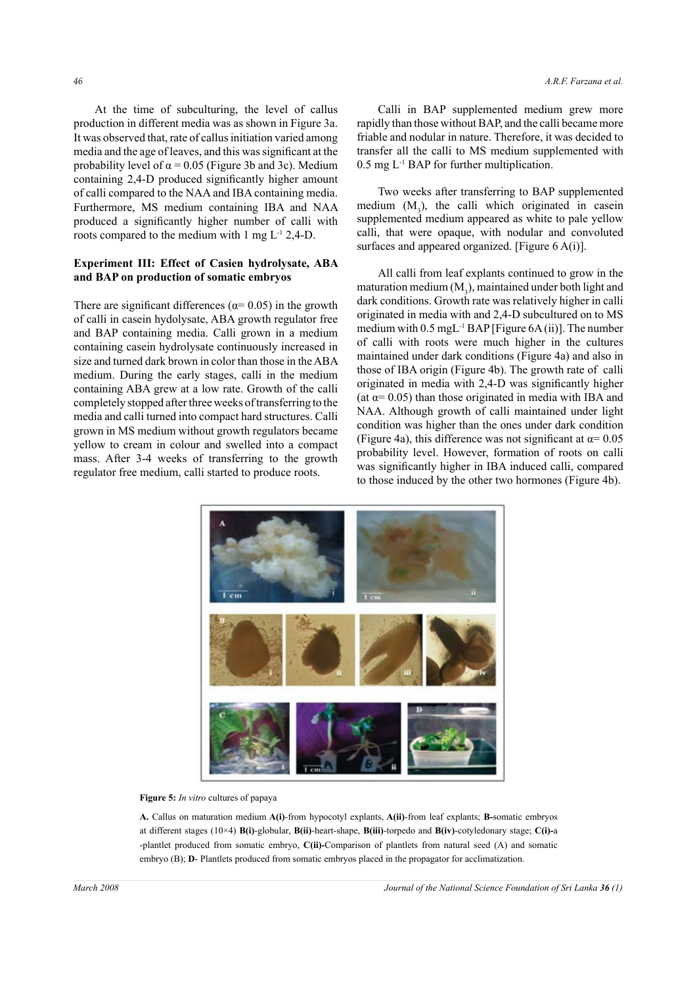At the time of subculturing, the level of callus production in different media was as shown in Figure 3a. It was observed that, rate of callus initiation varied among media and the age of leaves, and this was significant at the probability level of  $\alpha$  = 0.05 (Figure 3b and 3c). Medium containing 2,4-D produced significantly higher amount of calli compared to the NAA and IBA containing media. Furthermore, MS medium containing IBA and NAA produced a significantly higher number of calli with roots compared to the medium with  $1 \text{ mg } L^{-1} 2,4-\text{D}$ .

## **Experiment III: Effect of Casien hydrolysate, ABA and BAP on production of somatic embryos**

There are significant differences ( $\alpha$ = 0.05) in the growth of calli in casein hydolysate, ABA growth regulator free and BAP containing media. Calli grown in a medium containing casein hydrolysate continuously increased in size and turned dark brown in color than those in the ABA medium. During the early stages, calli in the medium containing ABA grew at a low rate. Growth of the calli completely stopped after three weeks of transferring to the media and calli turned into compact hard structures. Calli grown in MS medium without growth regulators became yellow to cream in colour and swelled into a compact mass. After 3-4 weeks of transferring to the growth regulator free medium, calli started to produce roots.

Calli in BAP supplemented medium grew more rapidly than those without BAP, and the calli became more friable and nodular in nature. Therefore, it was decided to transfer all the calli to MS medium supplemented with 0.5 mg L-1 BAP for further multiplication.

Two weeks after transferring to BAP supplemented medium  $(M_3)$ , the calli which originated in casein supplemented medium appeared as white to pale yellow calli, that were opaque, with nodular and convoluted surfaces and appeared organized. [Figure 6 A(i)].

All calli from leaf explants continued to grow in the maturation medium  $(M_3)$ , maintained under both light and dark conditions. Growth rate was relatively higher in calli originated in media with and 2,4-D subcultured on to MS medium with  $0.5 \text{ mgL}^{-1}$  BAP [Figure 6A (ii)]. The number of calli with roots were much higher in the cultures maintained under dark conditions (Figure 4a) and also in those of IBA origin (Figure 4b). The growth rate of calli originated in media with 2,4-D was significantly higher (at  $\alpha$ = 0.05) than those originated in media with IBA and NAA. Although growth of calli maintained under light condition was higher than the ones under dark condition (Figure 4a), this difference was not significant at  $\alpha$ = 0.05 probability level. However, formation of roots on calli was significantly higher in IBA induced calli, compared to those induced by the other two hormones (Figure 4b).



#### **Figure 5:** *In vitro* cultures of papaya

**A.** Callus on maturation medium **A(i)**-from hypocotyl explants, **A(ii)**-from leaf explants; **B-**somatic embryos at different stages (10×4) **B(i)**-globular, **B(ii)**-heart-shape, **B(iii)**-torpedo and **B(iv)**-cotyledonary stage; **C(i)-**a -plantlet produced from somatic embryo, **C(ii)-**Comparison of plantlets from natural seed (A) and somatic embryo (B); **D**- Plantlets produced from somatic embryos placed in the propagator for acclimatization.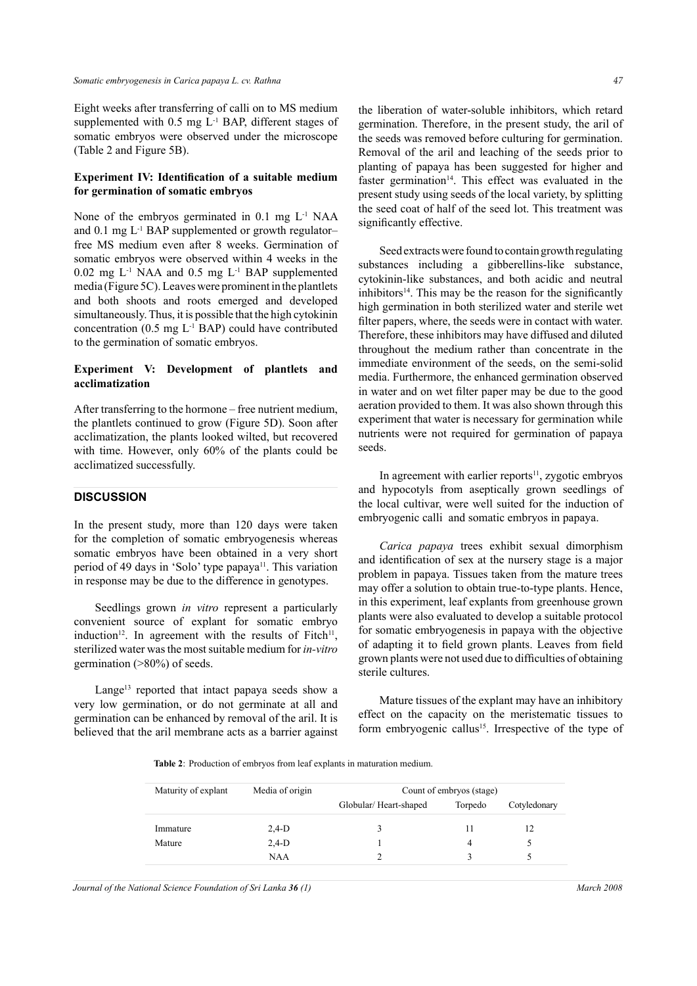Eight weeks after transferring of calli on to MS medium supplemented with 0.5 mg L-1 BAP, different stages of somatic embryos were observed under the microscope (Table 2 and Figure 5B).

### **Experiment IV: Identification of a suitable medium for germination of somatic embryos**

None of the embryos germinated in  $0.1$  mg  $L^{-1}$  NAA and  $0.1$  mg  $L^{-1}$  BAP supplemented or growth regulatorfree MS medium even after 8 weeks. Germination of somatic embryos were observed within 4 weeks in the  $0.02$  mg  $L^{-1}$  NAA and  $0.5$  mg  $L^{-1}$  BAP supplemented media (Figure 5C). Leaves were prominent in the plantlets and both shoots and roots emerged and developed simultaneously. Thus, it is possible that the high cytokinin concentration  $(0.5 \text{ mg } L^{-1}$  BAP) could have contributed to the germination of somatic embryos.

### **Experiment V: Development of plantlets and acclimatization**

After transferring to the hormone – free nutrient medium, the plantlets continued to grow (Figure 5D). Soon after acclimatization, the plants looked wilted, but recovered with time. However, only 60% of the plants could be acclimatized successfully.

# **DISCUSSION**

In the present study, more than 120 days were taken for the completion of somatic embryogenesis whereas somatic embryos have been obtained in a very short period of 49 days in 'Solo' type papaya<sup>11</sup>. This variation in response may be due to the difference in genotypes.

Seedlings grown *in vitro* represent a particularly convenient source of explant for somatic embryo induction<sup>12</sup>. In agreement with the results of Fitch<sup>11</sup>, sterilized water was the most suitable medium for *in-vitro* germination (>80%) of seeds.

Lange<sup>13</sup> reported that intact papaya seeds show a very low germination, or do not germinate at all and germination can be enhanced by removal of the aril. It is believed that the aril membrane acts as a barrier against

Seed extracts were found to contain growth regulating substances including a gibberellins-like substance, cytokinin-like substances, and both acidic and neutral inhibitors $14$ . This may be the reason for the significantly high germination in both sterilized water and sterile wet filter papers, where, the seeds were in contact with water. Therefore, these inhibitors may have diffused and diluted throughout the medium rather than concentrate in the immediate environment of the seeds, on the semi-solid media. Furthermore, the enhanced germination observed in water and on wet filter paper may be due to the good aeration provided to them. It was also shown through this experiment that water is necessary for germination while nutrients were not required for germination of papaya seeds.

the seed coat of half of the seed lot. This treatment was

significantly effective.

In agreement with earlier reports $11$ , zygotic embryos and hypocotyls from aseptically grown seedlings of the local cultivar, were well suited for the induction of embryogenic calli and somatic embryos in papaya.

*Carica papaya* trees exhibit sexual dimorphism and identification of sex at the nursery stage is a major problem in papaya. Tissues taken from the mature trees may offer a solution to obtain true-to-type plants. Hence, in this experiment, leaf explants from greenhouse grown plants were also evaluated to develop a suitable protocol for somatic embryogenesis in papaya with the objective of adapting it to field grown plants. Leaves from field grown plants were not used due to difficulties of obtaining sterile cultures.

Mature tissues of the explant may have an inhibitory effect on the capacity on the meristematic tissues to form embryogenic callus<sup>15</sup>. Irrespective of the type of

**Table 2**: Production of embryos from leaf explants in maturation medium.

| Maturity of explant | Media of origin | Count of embryos (stage) |         |              |
|---------------------|-----------------|--------------------------|---------|--------------|
|                     |                 | Globular/Heart-shaped    | Torpedo | Cotyledonary |
| Immature            | $2,4-D$         |                          |         |              |
| Mature              | $2,4-D$         |                          | 4       |              |
|                     | <b>NAA</b>      |                          |         |              |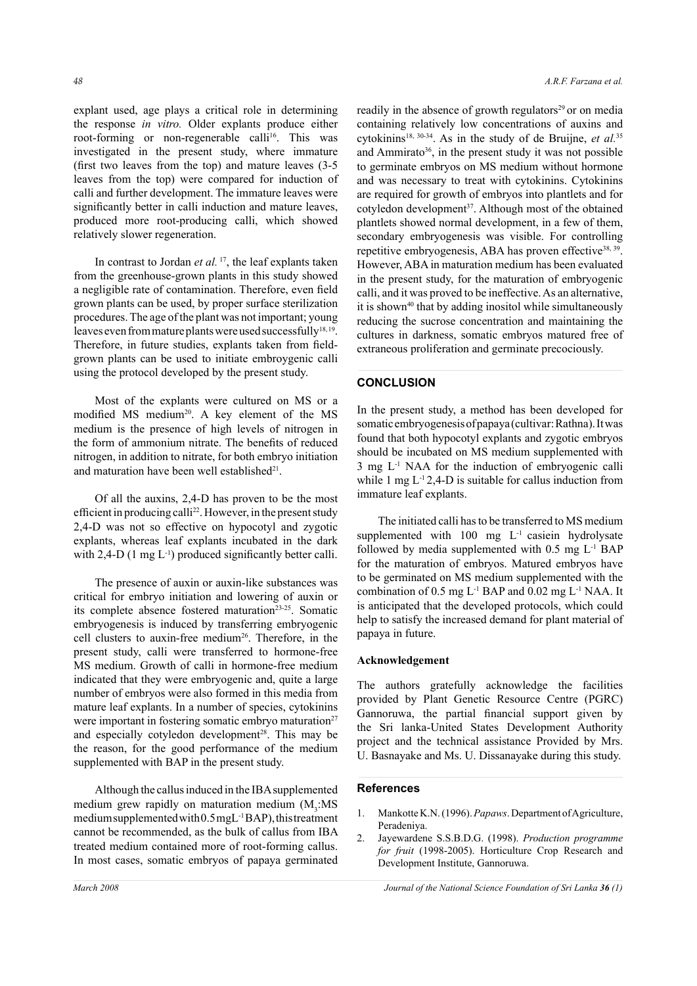explant used, age plays a critical role in determining the response *in vitro.* Older explants produce either root-forming or non-regenerable calli<sup>16</sup>. This was investigated in the present study, where immature (first two leaves from the top) and mature leaves (3-5 leaves from the top) were compared for induction of calli and further development. The immature leaves were significantly better in calli induction and mature leaves, produced more root-producing calli, which showed relatively slower regeneration.

In contrast to Jordan *et al.* <sup>17</sup>, the leaf explants taken from the greenhouse-grown plants in this study showed a negligible rate of contamination. Therefore, even field grown plants can be used, by proper surface sterilization procedures. The age of the plant was not important; young leaves even from mature plants were used successfully<sup>18,19</sup>. Therefore, in future studies, explants taken from fieldgrown plants can be used to initiate embroygenic calli using the protocol developed by the present study.

Most of the explants were cultured on MS or a modified MS medium<sup>20</sup>. A key element of the MS medium is the presence of high levels of nitrogen in the form of ammonium nitrate. The benefits of reduced nitrogen, in addition to nitrate, for both embryo initiation and maturation have been well established<sup>21</sup>.

Of all the auxins, 2,4-D has proven to be the most efficient in producing calli<sup>22</sup>. However, in the present study 2,4-D was not so effective on hypocotyl and zygotic explants, whereas leaf explants incubated in the dark with  $2,4$ -D (1 mg L<sup>-1</sup>) produced significantly better calli.

The presence of auxin or auxin-like substances was critical for embryo initiation and lowering of auxin or its complete absence fostered maturation<sup>23-25</sup>. Somatic embryogenesis is induced by transferring embryogenic cell clusters to auxin-free medium<sup>26</sup>. Therefore, in the present study, calli were transferred to hormone-free MS medium. Growth of calli in hormone-free medium indicated that they were embryogenic and, quite a large number of embryos were also formed in this media from mature leaf explants. In a number of species, cytokinins were important in fostering somatic embryo maturation<sup>27</sup> and especially cotyledon development<sup>28</sup>. This may be the reason, for the good performance of the medium supplemented with BAP in the present study.

Although the callus induced in the IBA supplemented medium grew rapidly on maturation medium  $(M_3:MS)$ medium supplemented with 0.5 mgL-1 BAP), this treatment cannot be recommended, as the bulk of callus from IBA treated medium contained more of root-forming callus. In most cases, somatic embryos of papaya germinated

readily in the absence of growth regulators<sup>29</sup> or on media containing relatively low concentrations of auxins and cytokinins<sup>18, 30-34</sup>. As in the study of de Bruijne, *et al.*<sup>35</sup> and Ammirato<sup>36</sup>, in the present study it was not possible to germinate embryos on MS medium without hormone and was necessary to treat with cytokinins. Cytokinins are required for growth of embryos into plantlets and for cotyledon development<sup>37</sup>. Although most of the obtained plantlets showed normal development, in a few of them, secondary embryogenesis was visible. For controlling repetitive embryogenesis, ABA has proven effective<sup>38, 39</sup>. However, ABA in maturation medium has been evaluated in the present study, for the maturation of embryogenic calli, and it was proved to be ineffective. As an alternative, it is shown<sup>40</sup> that by adding inositol while simultaneously reducing the sucrose concentration and maintaining the cultures in darkness, somatic embryos matured free of extraneous proliferation and germinate precociously.

# **CONCLUSION**

In the present study, a method has been developed for somatic embryogenesis of papaya (cultivar: Rathna). It was found that both hypocotyl explants and zygotic embryos should be incubated on MS medium supplemented with  $3 \text{ mg } L^{-1}$  NAA for the induction of embryogenic calli while 1 mg  $L^{-1}$  2,4-D is suitable for callus induction from immature leaf explants.

The initiated calli has to be transferred to MS medium supplemented with  $100$  mg  $L^{-1}$  casiein hydrolysate followed by media supplemented with 0.5 mg L-1 BAP for the maturation of embryos. Matured embryos have to be germinated on MS medium supplemented with the combination of  $0.5 \text{ mg L}$ <sup>1</sup> BAP and  $0.02 \text{ mg L}$ <sup>1</sup> NAA. It is anticipated that the developed protocols, which could help to satisfy the increased demand for plant material of papaya in future.

### **Acknowledgement**

The authors gratefully acknowledge the facilities provided by Plant Genetic Resource Centre (PGRC) Gannoruwa, the partial financial support given by the Sri lanka-United States Development Authority project and the technical assistance Provided by Mrs. U. Basnayake and Ms. U. Dissanayake during this study.

### **References**

- 1. Mankotte K.N. (1996). *Papaws*. Department of Agriculture, Peradeniya.
- 2. Jayewardene S.S.B.D.G. (1998). *Production programme for fruit* (1998-2005). Horticulture Crop Research and Development Institute, Gannoruwa.

*March 2008 Journal of the National Science Foundation of Sri Lanka 36 (1)*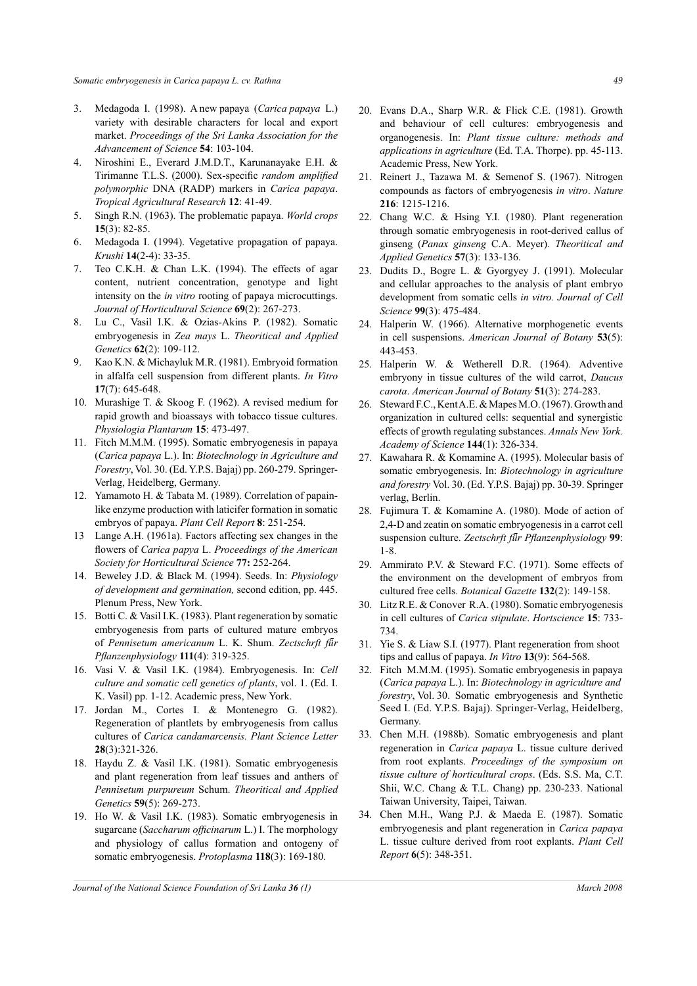- 3. Medagoda I. (1998). A new papaya (*Carica papaya* L.) variety with desirable characters for local and export market. *Proceedings of the Sri Lanka Association for the Advancement of Science* **54**: 103-104.
- 4. Niroshini E., Everard J.M.D.T., Karunanayake E.H. & Tirimanne T.L.S. (2000). Sex-specific *random amplified polymorphic* DNA (RADP) markers in *Carica papaya*. *Tropical Agricultural Research* **12**: 41-49.
- 5. Singh R.N. (1963). The problematic papaya. *World crops* **15**(3): 82-85.
- 6. Medagoda I. (1994). Vegetative propagation of papaya. *Krushi* **14**(2-4): 33-35.
- 7. Teo C.K.H. & Chan L.K. (1994). The effects of agar content, nutrient concentration, genotype and light intensity on the *in vitro* rooting of papaya microcuttings. *Journal of Horticultural Science* **69**(2): 267-273.
- 8. Lu C., Vasil I.K. & Ozias-Akins P. (1982). Somatic embryogenesis in *Zea mays* L. *Theoritical and Applied Genetics* **62**(2): 109-112.
- 9. Kao K.N. & Michayluk M.R. (1981). Embryoid formation in alfalfa cell suspension from different plants. *In Vitro* **17**(7): 645-648.
- 10. Murashige T. & Skoog F. (1962). A revised medium for rapid growth and bioassays with tobacco tissue cultures. *Physiologia Plantarum* **15**: 473-497.
- 11. Fitch M.M.M. (1995). Somatic embryogenesis in papaya (*Carica papaya* L.). In: *Biotechnology in Agriculture and Forestry*, Vol. 30. (Ed. Y.P.S. Bajaj) pp. 260-279. Springer-Verlag, Heidelberg, Germany.
- 12. Yamamoto H. & Tabata M. (1989). Correlation of papainlike enzyme production with laticifer formation in somatic embryos of papaya. *Plant Cell Report* **8**: 251-254.
- 13 Lange A.H. (1961a). Factors affecting sex changes in the flowers of *Carica papya* L. *Proceedings of the American Society for Horticultural Science* **77:** 252-264.
- 14. Beweley J.D. & Black M. (1994). Seeds. In: *Physiology of development and germination,* second edition, pp. 445. Plenum Press, New York.
- 15. Botti C. & Vasil I.K. (1983). Plant regeneration by somatic embryogenesis from parts of cultured mature embryos of *Pennisetum americanum* L. K. Shum. *Zectschrft fǖr Pflanzenphysiology* **111**(4): 319-325.
- 16. Vasi V. & Vasil I.K. (1984). Embryogenesis. In: *Cell culture and somatic cell genetics of plants*, vol. 1. (Ed. I. K. Vasil) pp. 1-12. Academic press, New York.
- 17. Jordan M., Cortes I. & Montenegro G. (1982). Regeneration of plantlets by embryogenesis from callus cultures of *Carica candamarcensis. Plant Science Letter*  **28**(3):321-326.
- 18. Haydu Z. & Vasil I.K. (1981). Somatic embryogenesis and plant regeneration from leaf tissues and anthers of *Pennisetum purpureum* Schum. *Theoritical and Applied Genetics* **59**(5): 269-273.
- 19. Ho W. & Vasil I.K. (1983). Somatic embryogenesis in sugarcane (*Saccharum officinarum* L.) I. The morphology and physiology of callus formation and ontogeny of somatic embryogenesis. *Protoplasma* **118**(3): 169-180.
- 20. Evans D.A., Sharp W.R. & Flick C.E. (1981). Growth and behaviour of cell cultures: embryogenesis and organogenesis. In: *Plant tissue culture: methods and applications in agriculture* (Ed. T.A. Thorpe). pp. 45-113. Academic Press, New York.
- 21. Reinert J., Tazawa M. & Semenof S. (1967). Nitrogen compounds as factors of embryogenesis *in vitro*. *Nature* **216**: 1215-1216.
- 22. Chang W.C. & Hsing Y.I. (1980). Plant regeneration through somatic embryogenesis in root-derived callus of ginseng (*Panax ginseng* C.A. Meyer). *Theoritical and Applied Genetics* **57**(3): 133-136.
- 23. Dudits D., Bogre L. & Gyorgyey J. (1991). Molecular and cellular approaches to the analysis of plant embryo development from somatic cells *in vitro. Journal of Cell Science* **99**(3): 475-484.
- 24. Halperin W. (1966). Alternative morphogenetic events in cell suspensions. *American Journal of Botany* **53**(5): 443-453.
- 25. Halperin W. & Wetherell D.R. (1964). Adventive embryony in tissue cultures of the wild carrot, *Daucus carota*. *American Journal of Botany* **51**(3): 274-283.
- 26. Steward F.C., Kent A.E. & Mapes M.O. (1967). Growth and organization in cultured cells: sequential and synergistic effects of growth regulating substances. *Annals New York. Academy of Science* **144**(1): 326-334.
- 27. Kawahara R. & Komamine A. (1995). Molecular basis of somatic embryogenesis. In: *Biotechnology in agriculture and forestry* Vol. 30. (Ed. Y.P.S. Bajaj) pp. 30-39. Springer verlag, Berlin.
- 28. Fujimura T. & Komamine A. (1980). Mode of action of 2,4-D and zeatin on somatic embryogenesis in a carrot cell suspension culture. *Zectschrft fǖr Pflanzenphysiology* **99**: 1-8.
- 29. Ammirato P.V. & Steward F.C. (1971). Some effects of the environment on the development of embryos from cultured free cells. *Botanical Gazette* **132**(2): 149-158.
- 30. Litz R.E. & Conover R.A. (1980). Somatic embryogenesis in cell cultures of *Carica stipulate*. *Hortscience* **15**: 733- 734.
- 31. Yie S. & Liaw S.I. (1977). Plant regeneration from shoot tips and callus of papaya. *In Vitro* **13**(9): 564-568.
- 32. Fitch M.M.M. (1995). Somatic embryogenesis in papaya (*Carica papaya* L.). In: *Biotechnology in agriculture and forestry*, Vol. 30. Somatic embryogenesis and Synthetic Seed I. (Ed. Y.P.S. Bajaj). Springer-Verlag, Heidelberg, Germany.
- 33. Chen M.H. (1988b). Somatic embryogenesis and plant regeneration in *Carica papaya* L. tissue culture derived from root explants. *Proceedings of the symposium on tissue culture of horticultural crops*. (Eds. S.S. Ma, C.T. Shii, W.C. Chang & T.L. Chang) pp. 230-233. National Taiwan University, Taipei, Taiwan.
- 34. Chen M.H., Wang P.J. & Maeda E. (1987). Somatic embryogenesis and plant regeneration in *Carica papaya*  L. tissue culture derived from root explants. *Plant Cell Report* **6**(5): 348-351.